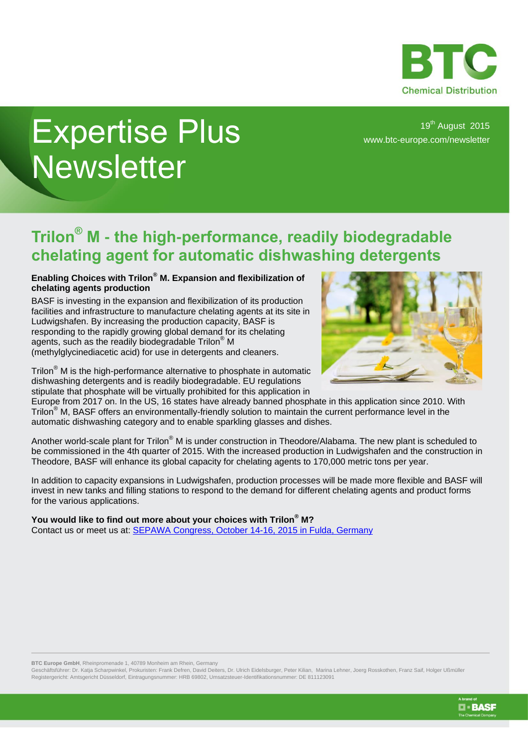

## Expertise Plus **Newsletter**

19<sup>th</sup> August 2015 [www.btc-europe.com/newsletter](http://www.btc-europe.com/newsletter)

## **Trilon® M - the high-performance, readily biodegradable chelating agent for automatic dishwashing detergents**

## **Enabling Choices with Trilon® M. Expansion and flexibilization of chelating agents production**

BASF is investing in the expansion and flexibilization of its production facilities and infrastructure to manufacture chelating agents at its site in Ludwigshafen. By increasing the production capacity, BASF is responding to the rapidly growing global demand for its chelating agents, such as the readily biodegradable Trilon® M (methylglycinediacetic acid) for use in detergents and cleaners.



Trilon<sup>®</sup> M is the high-performance alternative to phosphate in automatic dishwashing detergents and is readily biodegradable. EU regulations stipulate that phosphate will be virtually prohibited for this application in

Europe from 2017 on. In the US, 16 states have already banned phosphate in this application since 2010. With Trilon<sup>®</sup> M, BASF offers an environmentally-friendly solution to maintain the current performance level in the automatic dishwashing category and to enable sparkling glasses and dishes.

Another world-scale plant for Trilon® M is under construction in Theodore/Alabama. The new plant is scheduled to be commissioned in the 4th quarter of 2015. With the increased production in Ludwigshafen and the construction in Theodore, BASF will enhance its global capacity for chelating agents to 170,000 metric tons per year.

In addition to capacity expansions in Ludwigshafen, production processes will be made more flexible and BASF will invest in new tanks and filling stations to respond to the demand for different chelating agents and product forms for the various applications.

## **You would like to find out more about your choices with Trilon® M?**

Contact us or meet us at: [SEPAWA Congress, October 14-16, 2015 in Fulda, Germany](http://www.sepawa.com/)

**BTC Europe GmbH**, Rheinpromenade 1, 40789 Monheim am Rhein, Germany

Geschäftsführer: Dr. Katja Scharpwinkel, Prokuristen: Frank Defren, David Deiters, Dr. Ulrich Eidelsburger, Peter Kilian, Marina Lehner, Joerg Rosskothen, Franz Saif, Holger Ußmüller Registergericht: Amtsgericht Düsseldorf, Eintragungsnummer: HRB 69802, Umsatzsteuer-Identifikationsnummer: DE 811123091